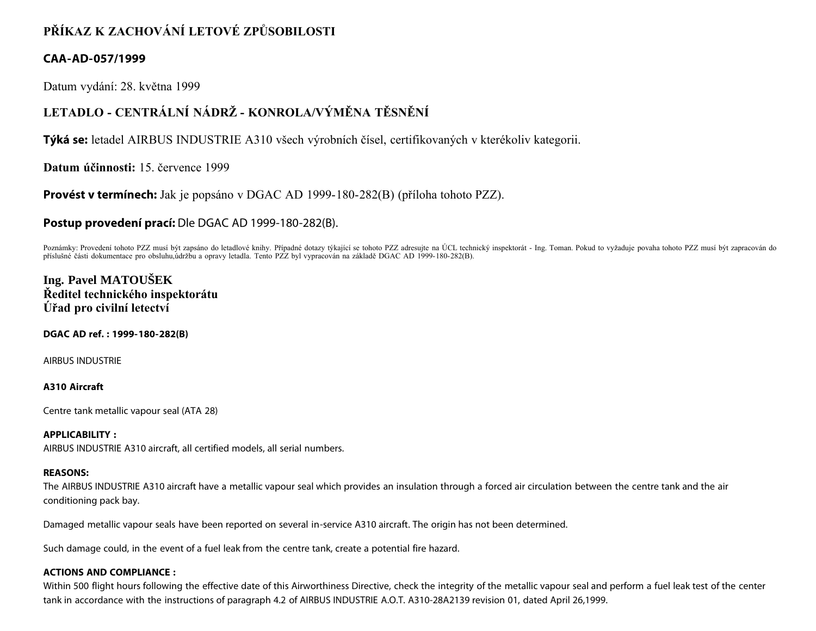# **PŘÍKAZ K ZACHOVÁNÍ LETOVÉ ZPŮSOBILOSTI**

# **CAA-AD-057/1999**

Datum vydání: 28. května 1999

# **LETADLO - CENTRÁLNÍ NÁDRŽ - KONROLA/VÝMĚNA TĚSNĚNÍ**

**Týká se:** letadel AIRBUS INDUSTRIE A310 všech výrobních čísel, certifikovaných v kterékoliv kategorii.

**Datum účinnosti:** 15. července 1999

**Provést v termínech:** Jak je popsáno v DGAC AD 1999-180-282(B) (příloha tohoto PZZ).

## **Postup provedení prací:** Dle DGAC AD 1999-180-282(B).

Poznámky: Provedení tohoto PZZ musí být zapsáno do letadlové knihy. Případné dotazy týkající se tohoto PZZ adresujte na ÚCL technický inspektorát - Ing. Toman. Pokud to vyžaduje povaha tohoto PZZ musí být zapracován do příslušné části dokumentace pro obsluhu,údržbu a opravy letadla. Tento PZZ byl vypracován na základě DGAC AD 1999-180-282(B).

# **Ing. Pavel MATOUŠEK Ředitel technického inspektorátu Úřad pro civilní letectví**

#### **DGAC AD ref. : 1999-180-282(B)**

AIRBUS INDUSTRIE

## **A310 Aircraft**

Centre tank metallic vapour seal (ATA 28)

## **APPLICABILITY :**

AIRBUS INDUSTRIE A310 aircraft, all certified models, all serial numbers.

#### **REASONS:**

The AIRBUS INDUSTRIE A310 aircraft have a metallic vapour seal which provides an insulation through a forced air circulation between the centre tank and the air conditioning pack bay.

Damaged metallic vapour seals have been reported on several in-service A310 aircraft. The origin has not been determined.

Such damage could, in the event of a fuel leak from the centre tank, create a potential fire hazard.

## **ACTIONS AND COMPLIANCE :**

Within 500 flight hours following the effective date of this Airworthiness Directive, check the integrity of the metallic vapour seal and perform a fuel leak test of the center tank in accordance with the instructions of paragraph 4.2 of AIRBUS INDUSTRIE A.O.T. A310-28A2139 revision 01, dated April 26,1999.